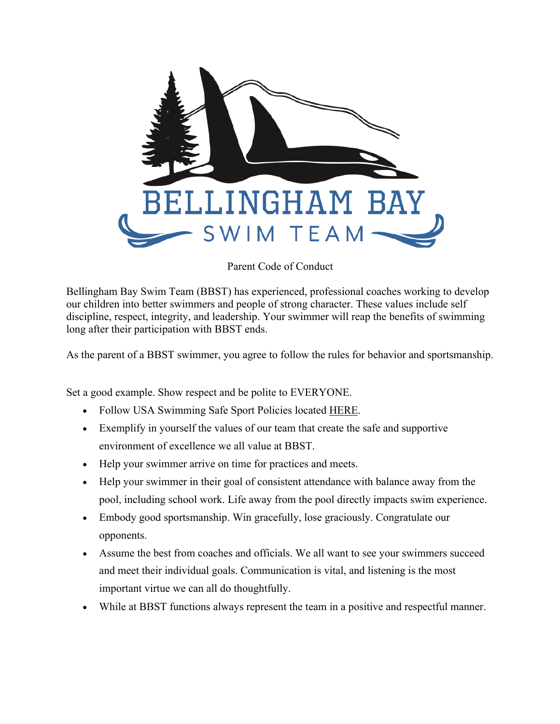

## Parent Code of Conduct

Bellingham Bay Swim Team (BBST) has experienced, professional coaches working to develop our children into better swimmers and people of strong character. These values include self discipline, respect, integrity, and leadership. Your swimmer will reap the benefits of swimming long after their participation with BBST ends.

As the parent of a BBST swimmer, you agree to follow the rules for behavior and sportsmanship.

Set a good example. Show respect and be polite to EVERYONE.

- Follow USA Swimming Safe Sport Policies located HERE.
- Exemplify in yourself the values of our team that create the safe and supportive environment of excellence we all value at BBST.
- Help your swimmer arrive on time for practices and meets.
- Help your swimmer in their goal of consistent attendance with balance away from the pool, including school work. Life away from the pool directly impacts swim experience.
- Embody good sportsmanship. Win gracefully, lose graciously. Congratulate our opponents.
- Assume the best from coaches and officials. We all want to see your swimmers succeed and meet their individual goals. Communication is vital, and listening is the most important virtue we can all do thoughtfully.
- While at BBST functions always represent the team in a positive and respectful manner.